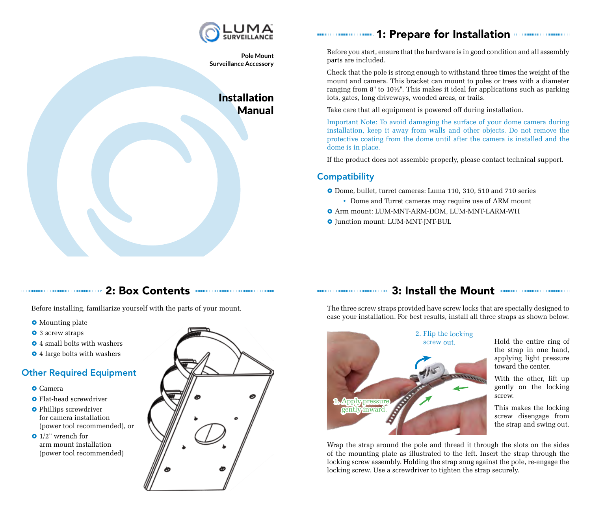

**Pole Mount Surveillance Accessory** 

# Installation Manual

# 1: Prepare for Installation

Before you start, ensure that the hardware is in good condition and all assembly parts are included.

Check that the pole is strong enough to withstand three times the weight of the mount and camera. This bracket can mount to poles or trees with a diameter ranging from 8" to  $10\frac{1}{2}$ ". This makes it ideal for applications such as parking lots, gates, long driveways, wooded areas, or trails.

Take care that all equipment is powered off during installation.

Important Note: To avoid damaging the surface of your dome camera during installation, keep it away from walls and other objects. Do not remove the protective coating from the dome until after the camera is installed and the dome is in place.

If the product does not assemble properly, please contact technical support.

### **Compatibility**

- } Dome, bullet, turret cameras: Luma 110, 310, 510 and 710 series
	- Dome and Turret cameras may require use of ARM mount
- $\bullet$  Arm mount: LUM-MNT-ARM-DOM, LUM-MNT-LARM-WH
- $\bullet$  Junction mount: LUM-MNT-JNT-BUL

### 2: Box Contents

Before installing, familiarize yourself with the parts of your mount.

- **•** Mounting plate
- **•** 3 screw straps
- **•** 4 small bolts with washers
- **•** 4 large bolts with washers

### Other Required Equipment

- **O** Camera
- **•** Flat-head screwdriver
- **•** Phillips screwdriver for camera installation (power tool recommended), or
- $\bullet$  1/2" wrench for arm mount installation (power tool recommended)



## 3: Install the Mount

The three screw straps provided have screw locks that are specially designed to ease your installation. For best results, install all three straps as shown below.



Hold the entire ring of the strap in one hand, applying light pressure toward the center.

With the other, lift up gently on the locking screw.

This makes the locking screw disengage from the strap and swing out.

Wrap the strap around the pole and thread it through the slots on the sides of the mounting plate as illustrated to the left. Insert the strap through the locking screw assembly. Holding the strap snug against the pole, re-engage the locking screw. Use a screwdriver to tighten the strap securely.